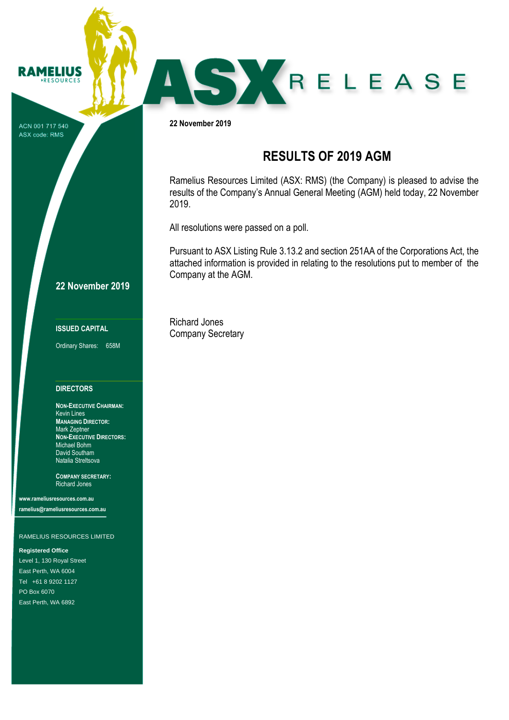ACN 001 717 540 ASX code: RMS

**RAMELIUS RESOURCES** 

# **22 November 2019**

## **ISSUED CAPITAL**

Ordinary Shares: 658M

### **DIRECTORS**

**NON-EXECUTIVE CHAIRMAN:** Kevin Lines **MANAGING DIRECTOR:** Mark Zeptner **NON-EXECUTIVE DIRECTORS:** Michael Bohm David Southam Natalia Streltsova

**COMPANY SECRETARY:** Richard Jones

**www.rameliusresources.com.au ramelius@rameliusresources.com.au**

#### RAMELIUS RESOURCES LIMITED

**Registered Office**

Level 1, 130 Royal Street East Perth, WA 6004 Tel +61 8 9202 1127 PO Box 6070 East Perth, WA 6892

**22 November 2019**

# **RESULTS OF 2019 AGM**

SKRELEASE

Ramelius Resources Limited (ASX: RMS) (the Company) is pleased to advise the results of the Company's Annual General Meeting (AGM) held today, 22 November 2019.

All resolutions were passed on a poll.

Pursuant to ASX Listing Rule 3.13.2 and section 251AA of the Corporations Act, the attached information is provided in relating to the resolutions put to member of the Company at the AGM.

Richard Jones Company Secretary